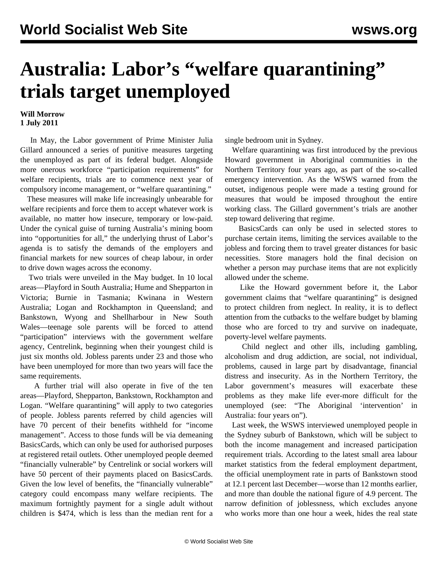## **Australia: Labor's "welfare quarantining" trials target unemployed**

## **Will Morrow 1 July 2011**

 In May, the Labor government of Prime Minister Julia Gillard announced a series of punitive measures targeting the unemployed as part of its federal budget. Alongside more onerous workforce "participation requirements" for welfare recipients, trials are to commence next year of compulsory income management, or "welfare quarantining."

 These measures will make life increasingly unbearable for welfare recipients and force them to accept whatever work is available, no matter how insecure, temporary or low-paid. Under the cynical guise of turning Australia's mining boom into "opportunities for all," the underlying thrust of Labor's agenda is to satisfy the demands of the employers and financial markets for new sources of cheap labour, in order to drive down wages across the economy.

 Two trials were unveiled in the May budget. In 10 local areas—Playford in South Australia; Hume and Shepparton in Victoria; Burnie in Tasmania; Kwinana in Western Australia; Logan and Rockhampton in Queensland; and Bankstown, Wyong and Shellharbour in New South Wales—teenage sole parents will be forced to attend "participation" interviews with the government welfare agency, Centrelink, beginning when their youngest child is just six months old. Jobless parents under 23 and those who have been unemployed for more than two years will face the same requirements.

 A further trial will also operate in five of the ten areas—Playford, Shepparton, Bankstown, Rockhampton and Logan. "Welfare quarantining" will apply to two categories of people. Jobless parents referred by child agencies will have 70 percent of their benefits withheld for "income management". Access to those funds will be via demeaning BasicsCards, which can only be used for authorised purposes at registered retail outlets. Other unemployed people deemed "financially vulnerable" by Centrelink or social workers will have 50 percent of their payments placed on BasicsCards. Given the low level of benefits, the "financially vulnerable" category could encompass many welfare recipients. The maximum fortnightly payment for a single adult without children is \$474, which is less than the median rent for a single bedroom unit in Sydney.

 Welfare quarantining was first introduced by the previous Howard government in Aboriginal communities in the Northern Territory four years ago, as part of the so-called emergency intervention. As the WSWS warned from the outset, indigenous people were made a testing ground for measures that would be imposed throughout the entire working class. The Gillard government's trials are another step toward delivering that regime.

 BasicsCards can only be used in selected stores to purchase certain items, limiting the services available to the jobless and forcing them to travel greater distances for basic necessities. Store managers hold the final decision on whether a person may purchase items that are not explicitly allowed under the scheme.

 Like the Howard government before it, the Labor government claims that "welfare quarantining" is designed to protect children from neglect. In reality, it is to deflect attention from the cutbacks to the welfare budget by blaming those who are forced to try and survive on inadequate, poverty-level welfare payments.

 Child neglect and other ills, including gambling, alcoholism and drug addiction, are social, not individual, problems, caused in large part by disadvantage, financial distress and insecurity. As in the Northern Territory, the Labor government's measures will exacerbate these problems as they make life ever-more difficult for the unemployed (see: "The Aboriginal 'intervention' [Australia: four years on"](/en/articles/2011/may2011/ntin-m30.shtml)).

 Last week, the WSWS interviewed unemployed people in the Sydney suburb of Bankstown, which will be subject to both the income management and increased participation requirement trials. According to the latest small area labour market statistics from the federal employment department, the official unemployment rate in parts of Bankstown stood at 12.1 percent last December—worse than 12 months earlier, and more than double the national figure of 4.9 percent. The narrow definition of joblessness, which excludes anyone who works more than one hour a week, hides the real state